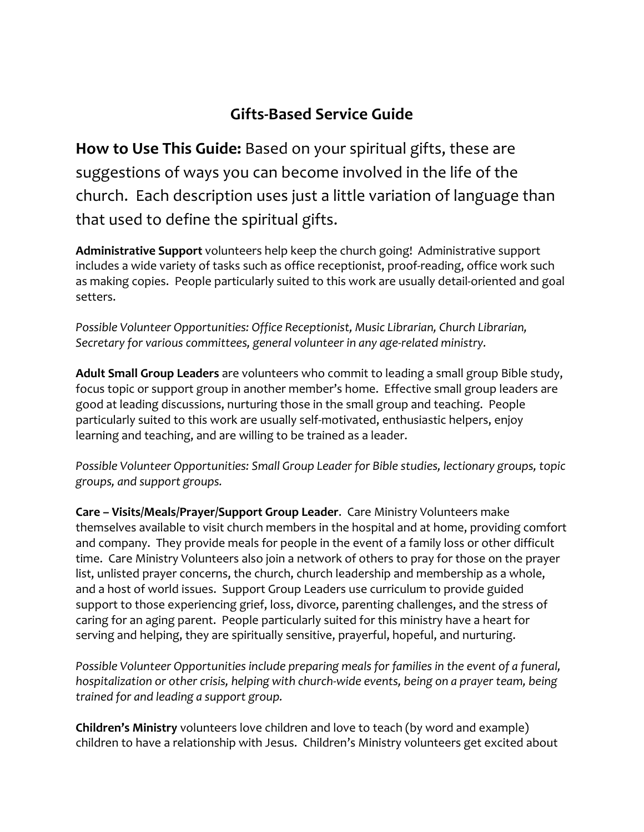## **Gifts-Based Service Guide**

**How to Use This Guide:** Based on your spiritual gifts, these are suggestions of ways you can become involved in the life of the church. Each description uses just a little variation of language than that used to define the spiritual gifts.

**Administrative Support** volunteers help keep the church going! Administrative support includes a wide variety of tasks such as office receptionist, proof-reading, office work such as making copies. People particularly suited to this work are usually detail-oriented and goal setters.

*Possible Volunteer Opportunities: Office Receptionist, Music Librarian, Church Librarian, Secretary for various committees, general volunteer in any age-related ministry.*

**Adult Small Group Leaders** are volunteers who commit to leading a small group Bible study, focus topic or support group in another member's home. Effective small group leaders are good at leading discussions, nurturing those in the small group and teaching. People particularly suited to this work are usually self-motivated, enthusiastic helpers, enjoy learning and teaching, and are willing to be trained as a leader.

*Possible Volunteer Opportunities: Small Group Leader for Bible studies, lectionary groups, topic groups, and support groups.*

**Care – Visits/Meals/Prayer/Support Group Leader**. Care Ministry Volunteers make themselves available to visit church members in the hospital and at home, providing comfort and company. They provide meals for people in the event of a family loss or other difficult time. Care Ministry Volunteers also join a network of others to pray for those on the prayer list, unlisted prayer concerns, the church, church leadership and membership as a whole, and a host of world issues. Support Group Leaders use curriculum to provide guided support to those experiencing grief, loss, divorce, parenting challenges, and the stress of caring for an aging parent. People particularly suited for this ministry have a heart for serving and helping, they are spiritually sensitive, prayerful, hopeful, and nurturing.

*Possible Volunteer Opportunities include preparing meals for families in the event of a funeral, hospitalization or other crisis, helping with church-wide events, being on a prayer team, being trained for and leading a support group.*

**Children's Ministry** volunteers love children and love to teach (by word and example) children to have a relationship with Jesus. Children's Ministry volunteers get excited about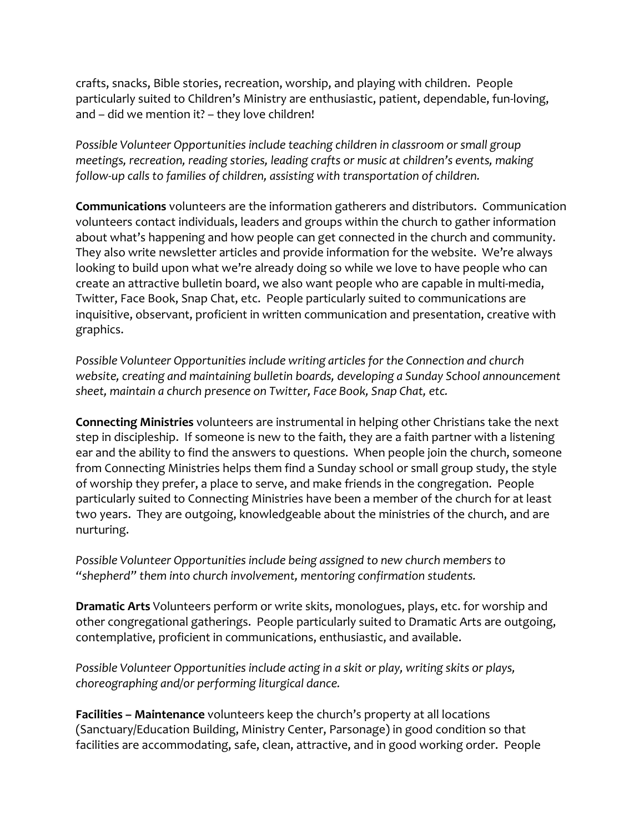crafts, snacks, Bible stories, recreation, worship, and playing with children. People particularly suited to Children's Ministry are enthusiastic, patient, dependable, fun-loving, and – did we mention it? – they love children!

*Possible Volunteer Opportunities include teaching children in classroom or small group meetings, recreation, reading stories, leading crafts or music at children's events, making follow-up calls to families of children, assisting with transportation of children.*

**Communications** volunteers are the information gatherers and distributors. Communication volunteers contact individuals, leaders and groups within the church to gather information about what's happening and how people can get connected in the church and community. They also write newsletter articles and provide information for the website. We're always looking to build upon what we're already doing so while we love to have people who can create an attractive bulletin board, we also want people who are capable in multi-media, Twitter, Face Book, Snap Chat, etc. People particularly suited to communications are inquisitive, observant, proficient in written communication and presentation, creative with graphics.

*Possible Volunteer Opportunities include writing articles for the Connection and church website, creating and maintaining bulletin boards, developing a Sunday School announcement sheet, maintain a church presence on Twitter, Face Book, Snap Chat, etc.*

**Connecting Ministries** volunteers are instrumental in helping other Christians take the next step in discipleship. If someone is new to the faith, they are a faith partner with a listening ear and the ability to find the answers to questions. When people join the church, someone from Connecting Ministries helps them find a Sunday school or small group study, the style of worship they prefer, a place to serve, and make friends in the congregation. People particularly suited to Connecting Ministries have been a member of the church for at least two years. They are outgoing, knowledgeable about the ministries of the church, and are nurturing.

*Possible Volunteer Opportunities include being assigned to new church members to "shepherd" them into church involvement, mentoring confirmation students.*

**Dramatic Arts** Volunteers perform or write skits, monologues, plays, etc. for worship and other congregational gatherings. People particularly suited to Dramatic Arts are outgoing, contemplative, proficient in communications, enthusiastic, and available.

*Possible Volunteer Opportunities include acting in a skit or play, writing skits or plays, choreographing and/or performing liturgical dance.*

**Facilities – Maintenance** volunteers keep the church's property at all locations (Sanctuary/Education Building, Ministry Center, Parsonage) in good condition so that facilities are accommodating, safe, clean, attractive, and in good working order. People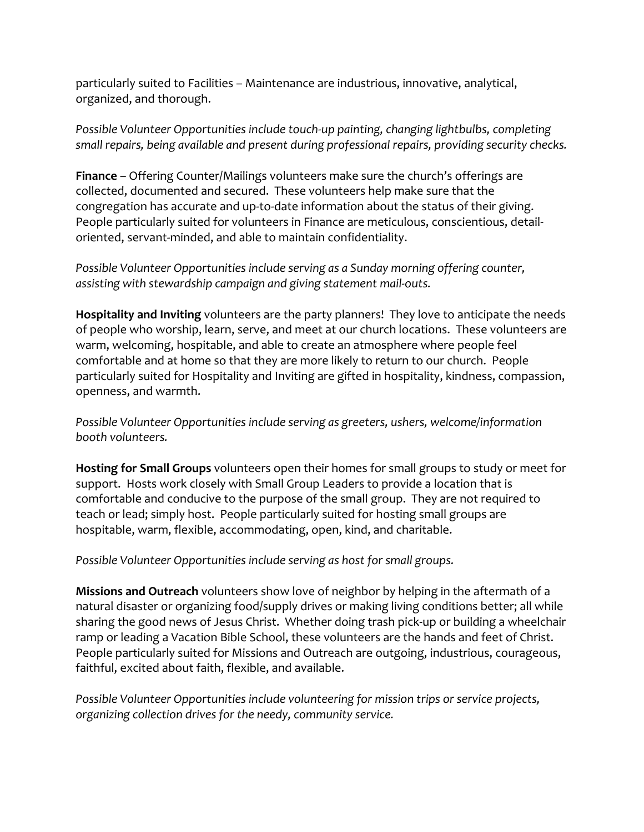particularly suited to Facilities – Maintenance are industrious, innovative, analytical, organized, and thorough.

*Possible Volunteer Opportunities include touch-up painting, changing lightbulbs, completing small repairs, being available and present during professional repairs, providing security checks.*

**Finance** – Offering Counter/Mailings volunteers make sure the church's offerings are collected, documented and secured. These volunteers help make sure that the congregation has accurate and up-to-date information about the status of their giving. People particularly suited for volunteers in Finance are meticulous, conscientious, detailoriented, servant-minded, and able to maintain confidentiality.

*Possible Volunteer Opportunities include serving as a Sunday morning offering counter, assisting with stewardship campaign and giving statement mail-outs.*

**Hospitality and Inviting** volunteers are the party planners! They love to anticipate the needs of people who worship, learn, serve, and meet at our church locations. These volunteers are warm, welcoming, hospitable, and able to create an atmosphere where people feel comfortable and at home so that they are more likely to return to our church. People particularly suited for Hospitality and Inviting are gifted in hospitality, kindness, compassion, openness, and warmth.

*Possible Volunteer Opportunities include serving as greeters, ushers, welcome/information booth volunteers.* 

**Hosting for Small Groups** volunteers open their homes for small groups to study or meet for support. Hosts work closely with Small Group Leaders to provide a location that is comfortable and conducive to the purpose of the small group. They are not required to teach or lead; simply host. People particularly suited for hosting small groups are hospitable, warm, flexible, accommodating, open, kind, and charitable.

*Possible Volunteer Opportunities include serving as host for small groups.*

**Missions and Outreach** volunteers show love of neighbor by helping in the aftermath of a natural disaster or organizing food/supply drives or making living conditions better; all while sharing the good news of Jesus Christ. Whether doing trash pick-up or building a wheelchair ramp or leading a Vacation Bible School, these volunteers are the hands and feet of Christ. People particularly suited for Missions and Outreach are outgoing, industrious, courageous, faithful, excited about faith, flexible, and available.

*Possible Volunteer Opportunities include volunteering for mission trips or service projects, organizing collection drives for the needy, community service.*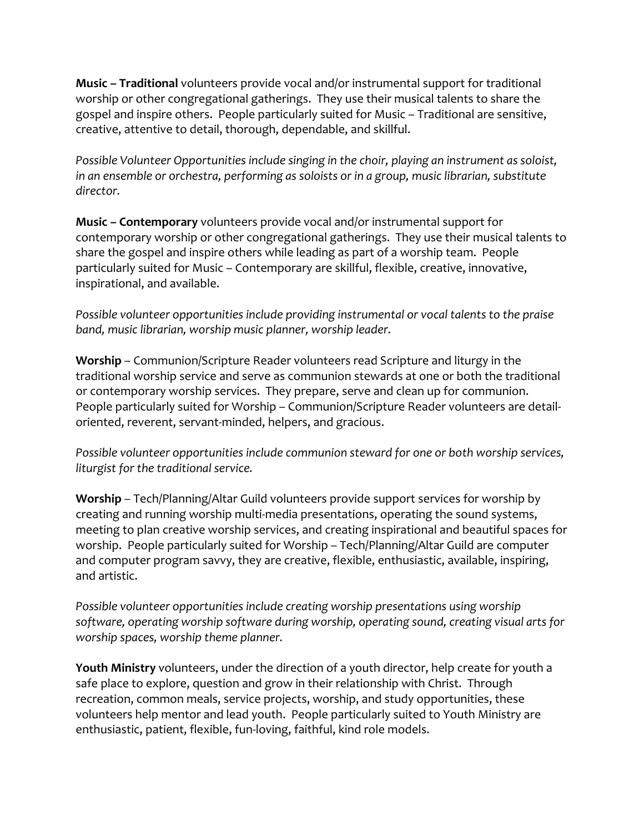**Music – Traditional** volunteers provide vocal and/or instrumental support for traditional worship or other congregational gatherings. They use their musical talents to share the gospel and inspire others. People particularly suited for Music – Traditional are sensitive, creative, attentive to detail, thorough, dependable, and skillful.

*Possible Volunteer Opportunities include singing in the choir, playing an instrument as soloist, in an ensemble or orchestra, performing as soloists or in a group, music librarian, substitute director.*

**Music – Contemporary** volunteers provide vocal and/or instrumental support for contemporary worship or other congregational gatherings. They use their musical talents to share the gospel and inspire others while leading as part of a worship team. People particularly suited for Music – Contemporary are skillful, flexible, creative, innovative, inspirational, and available.

*Possible volunteer opportunities include providing instrumental or vocal talents to the praise band, music librarian, worship music planner, worship leader.*

**Worship** – Communion/Scripture Reader volunteers read Scripture and liturgy in the traditional worship service and serve as communion stewards at one or both the traditional or contemporary worship services. They prepare, serve and clean up for communion. People particularly suited for Worship – Communion/Scripture Reader volunteers are detailoriented, reverent, servant-minded, helpers, and gracious.

*Possible volunteer opportunities include communion steward for one or both worship services, liturgist for the traditional service.*

**Worship** – Tech/Planning/Altar Guild volunteers provide support services for worship by creating and running worship multi-media presentations, operating the sound systems, meeting to plan creative worship services, and creating inspirational and beautiful spaces for worship. People particularly suited for Worship – Tech/Planning/Altar Guild are computer and computer program savvy, they are creative, flexible, enthusiastic, available, inspiring, and artistic.

*Possible volunteer opportunities include creating worship presentations using worship software, operating worship software during worship, operating sound, creating visual arts for worship spaces, worship theme planner.*

**Youth Ministry** volunteers, under the direction of a youth director, help create for youth a safe place to explore, question and grow in their relationship with Christ. Through recreation, common meals, service projects, worship, and study opportunities, these volunteers help mentor and lead youth. People particularly suited to Youth Ministry are enthusiastic, patient, flexible, fun-loving, faithful, kind role models.